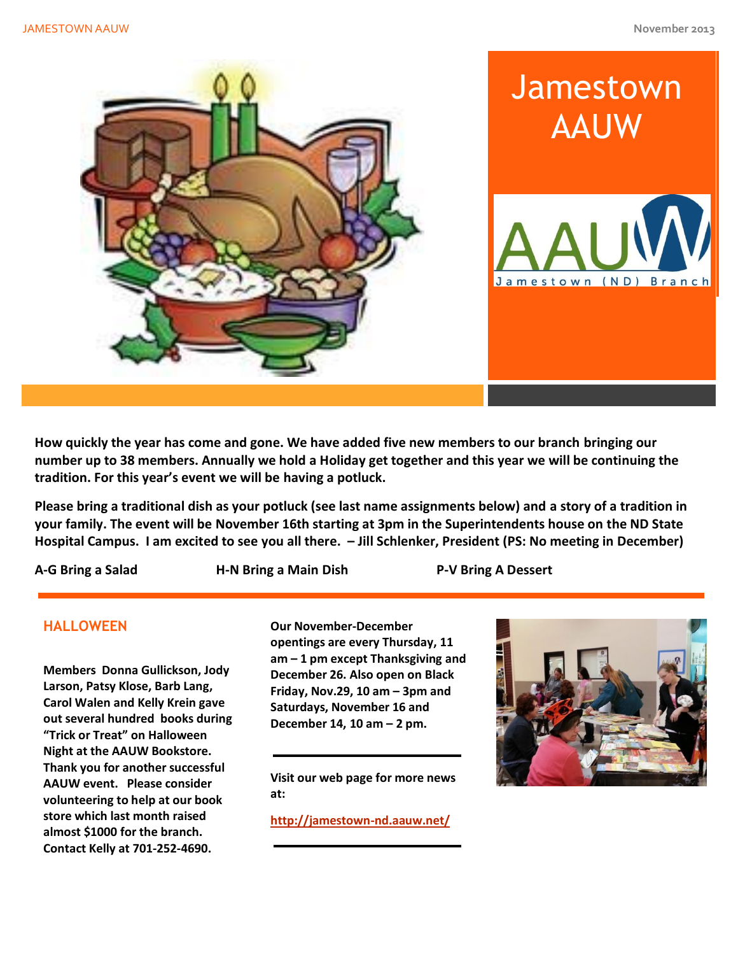

**How quickly the year has come and gone. We have added five new members to our branch bringing our number up to 38 members. Annually we hold a Holiday get together and this year we will be continuing the tradition. For this year's event we will be having a potluck.**

**Please bring a traditional dish as your potluck (see last name assignments below) and a story of a tradition in your family. The event will be November 16th starting at 3pm in the Superintendents house on the ND State Hospital Campus. I am excited to see you all there. – Jill Schlenker, President (PS: No meeting in December)**

**A-G Bring a Salad H-N Bring a Main Dish P-V Bring A Dessert**

## **HALLOWEEN**

**Members Donna Gullickson, Jody Larson, Patsy Klose, Barb Lang, Carol Walen and Kelly Krein gave out several hundred books during "Trick or Treat" on Halloween Night at the AAUW Bookstore. Thank you for another successful AAUW event. Please consider volunteering to help at our book store which last month raised almost \$1000 for the branch. Contact Kelly at 701-252-4690.** 

**Our November-December opentings are every Thursday, 11 am – 1 pm except Thanksgiving and December 26. Also open on Black Friday, Nov.29, 10 am – 3pm and Saturdays, November 16 and December 14, 10 am – 2 pm.** 

**Visit our web page for more news at:**

**<http://jamestown-nd.aauw.net/>**